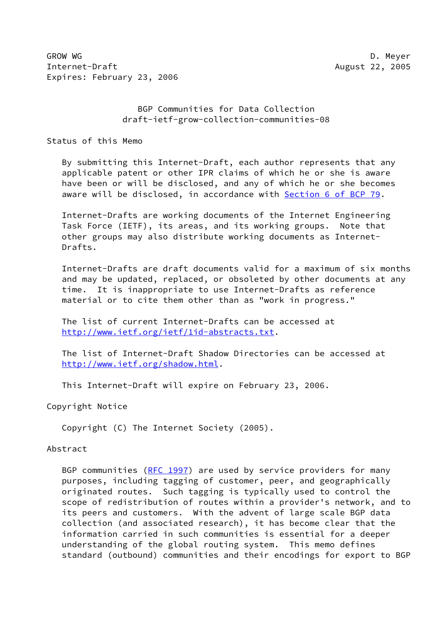GROW WG D. Meyer Internet-Draft August 22, 2005 Expires: February 23, 2006

 BGP Communities for Data Collection draft-ietf-grow-collection-communities-08

Status of this Memo

 By submitting this Internet-Draft, each author represents that any applicable patent or other IPR claims of which he or she is aware have been or will be disclosed, and any of which he or she becomes aware will be disclosed, in accordance with Section [6 of BCP 79.](https://datatracker.ietf.org/doc/pdf/bcp79#section-6)

 Internet-Drafts are working documents of the Internet Engineering Task Force (IETF), its areas, and its working groups. Note that other groups may also distribute working documents as Internet- Drafts.

 Internet-Drafts are draft documents valid for a maximum of six months and may be updated, replaced, or obsoleted by other documents at any time. It is inappropriate to use Internet-Drafts as reference material or to cite them other than as "work in progress."

 The list of current Internet-Drafts can be accessed at <http://www.ietf.org/ietf/1id-abstracts.txt>.

 The list of Internet-Draft Shadow Directories can be accessed at <http://www.ietf.org/shadow.html>.

This Internet-Draft will expire on February 23, 2006.

Copyright Notice

Copyright (C) The Internet Society (2005).

Abstract

BGP communities [\(RFC 1997](https://datatracker.ietf.org/doc/pdf/rfc1997)) are used by service providers for many purposes, including tagging of customer, peer, and geographically originated routes. Such tagging is typically used to control the scope of redistribution of routes within a provider's network, and to its peers and customers. With the advent of large scale BGP data collection (and associated research), it has become clear that the information carried in such communities is essential for a deeper understanding of the global routing system. This memo defines standard (outbound) communities and their encodings for export to BGP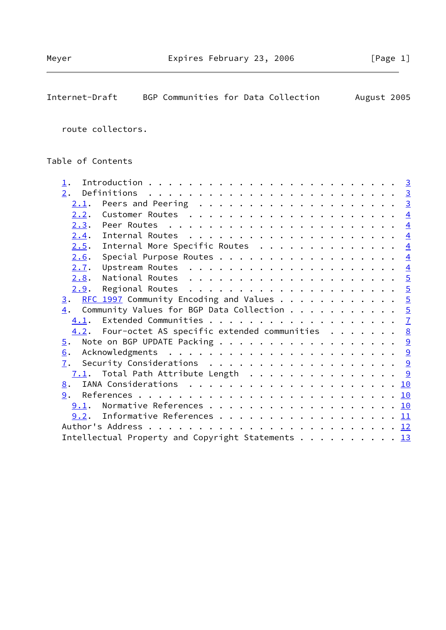Internet-Draft BGP Communities for Data Collection August 2005

|                   | route collectors.                                                     |                         |
|-------------------|-----------------------------------------------------------------------|-------------------------|
| Table of Contents |                                                                       |                         |
|                   |                                                                       | $\overline{\mathbf{3}}$ |
| 2.                | Definitions $\ldots \ldots \ldots \ldots \ldots \ldots \ldots \ldots$ | <u>3</u>                |
| <u>2.1</u> .      |                                                                       | $\overline{\mathbf{3}}$ |
| 2.2.              |                                                                       | $\frac{4}{3}$           |
|                   | 2.3. Peer Routes                                                      | $\overline{4}$          |
| 2.4.              |                                                                       | $\overline{4}$          |
| 2.5.              | Internal More Specific Routes                                         | $\frac{4}{3}$           |
| 2.6.              | Special Purpose Routes                                                | $\frac{4}{3}$           |
| 2.7.              |                                                                       | $\frac{4}{3}$           |
| 2.8.              | National Routes                                                       | $\frac{5}{2}$           |
| 2.9.              | Regional Routes                                                       | $\overline{5}$          |
|                   | REC 1997 Community Encoding and Values                                |                         |

| 2.9.                                                          |  |
|---------------------------------------------------------------|--|
| $\underline{3}.$ RFC 1997 Community Encoding and Values 5     |  |
| $\frac{4}{1}$ . Community Values for BGP Data Collection 5    |  |
|                                                               |  |
| 4.2. Four-octet AS specific extended communities 8            |  |
|                                                               |  |
| 6.                                                            |  |
|                                                               |  |
| 7.1. Total Path Attribute Length 9                            |  |
|                                                               |  |
|                                                               |  |
| 9.1. Normative References 10                                  |  |
| 9.2. Informative References 11                                |  |
|                                                               |  |
| Intellectual Property and Copyright Statements $\frac{13}{2}$ |  |
|                                                               |  |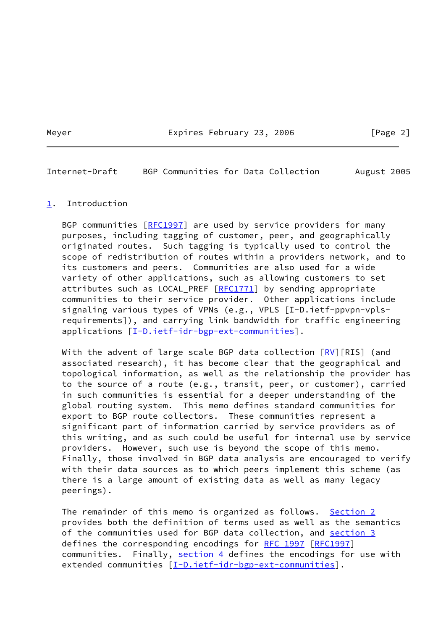Meyer **Expires February 23, 2006** [Page 2]

<span id="page-2-1"></span>Internet-Draft BGP Communities for Data Collection August 2005

## <span id="page-2-0"></span>[1](#page-2-0). Introduction

BGP communities [\[RFC1997](https://datatracker.ietf.org/doc/pdf/rfc1997)] are used by service providers for many purposes, including tagging of customer, peer, and geographically originated routes. Such tagging is typically used to control the scope of redistribution of routes within a providers network, and to its customers and peers. Communities are also used for a wide variety of other applications, such as allowing customers to set attributes such as LOCAL\_PREF  $[RECI771]$  by sending appropriate communities to their service provider. Other applications include signaling various types of VPNs (e.g., VPLS [I-D.ietf-ppvpn-vpls requirements]), and carrying link bandwidth for traffic engineering applications [\[I-D.ietf-idr-bgp-ext-communities](#page-11-2)].

With the advent of large scale BGP data collection  $[RV] [RIS]$  $[RV] [RIS]$  $[RV] [RIS]$  (and associated research), it has become clear that the geographical and topological information, as well as the relationship the provider has to the source of a route (e.g., transit, peer, or customer), carried in such communities is essential for a deeper understanding of the global routing system. This memo defines standard communities for export to BGP route collectors. These communities represent a significant part of information carried by service providers as of this writing, and as such could be useful for internal use by service providers. However, such use is beyond the scope of this memo. Finally, those involved in BGP data analysis are encouraged to verify with their data sources as to which peers implement this scheme (as there is a large amount of existing data as well as many legacy peerings).

The remainder of this memo is organized as follows. [Section 2](#page-3-0) provides both the definition of terms used as well as the semantics of the communities used for BGP data collection, and [section 3](#page-4-5) defines the corresponding encodings for [RFC 1997](https://datatracker.ietf.org/doc/pdf/rfc1997) [\[RFC1997](https://datatracker.ietf.org/doc/pdf/rfc1997)] communities. Finally, [section 4](#page-5-0) defines the encodings for use with extended communities [\[I-D.ietf-idr-bgp-ext-communities](#page-11-2)].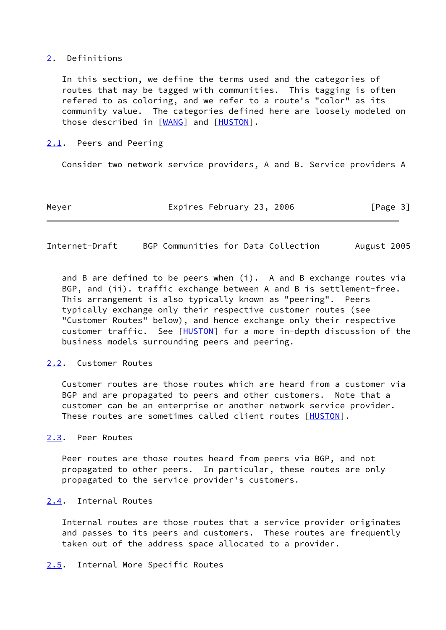## <span id="page-3-0"></span>[2](#page-3-0). Definitions

 In this section, we define the terms used and the categories of routes that may be tagged with communities. This tagging is often refered to as coloring, and we refer to a route's "color" as its community value. The categories defined here are loosely modeled on those described in [[WANG\]](#page-11-4) and [[HUSTON](#page-11-5)].

## <span id="page-3-1"></span>[2.1](#page-3-1). Peers and Peering

Consider two network service providers, A and B. Service providers A

Meyer **Expires February 23, 2006** [Page 3]

<span id="page-3-3"></span>Internet-Draft BGP Communities for Data Collection August 2005

 and B are defined to be peers when (i). A and B exchange routes via BGP, and (ii). traffic exchange between A and B is settlement-free. This arrangement is also typically known as "peering". Peers typically exchange only their respective customer routes (see "Customer Routes" below), and hence exchange only their respective customer traffic. See [\[HUSTON](#page-11-5)] for a more in-depth discussion of the business models surrounding peers and peering.

# <span id="page-3-2"></span>[2.2](#page-3-2). Customer Routes

 Customer routes are those routes which are heard from a customer via BGP and are propagated to peers and other customers. Note that a customer can be an enterprise or another network service provider. These routes are sometimes called client routes [\[HUSTON](#page-11-5)].

### <span id="page-3-4"></span>[2.3](#page-3-4). Peer Routes

 Peer routes are those routes heard from peers via BGP, and not propagated to other peers. In particular, these routes are only propagated to the service provider's customers.

# <span id="page-3-5"></span>[2.4](#page-3-5). Internal Routes

 Internal routes are those routes that a service provider originates and passes to its peers and customers. These routes are frequently taken out of the address space allocated to a provider.

<span id="page-3-6"></span>[2.5](#page-3-6). Internal More Specific Routes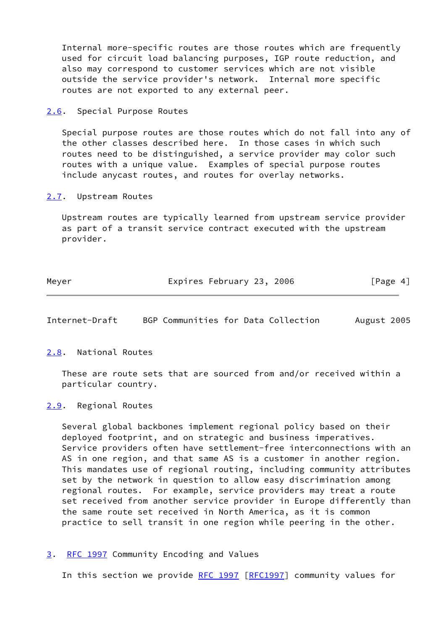Internal more-specific routes are those routes which are frequently used for circuit load balancing purposes, IGP route reduction, and also may correspond to customer services which are not visible outside the service provider's network. Internal more specific routes are not exported to any external peer.

<span id="page-4-0"></span>[2.6](#page-4-0). Special Purpose Routes

 Special purpose routes are those routes which do not fall into any of the other classes described here. In those cases in which such routes need to be distinguished, a service provider may color such routes with a unique value. Examples of special purpose routes include anycast routes, and routes for overlay networks.

<span id="page-4-1"></span>[2.7](#page-4-1). Upstream Routes

 Upstream routes are typically learned from upstream service provider as part of a transit service contract executed with the upstream provider.

| Meyer | Expires February 23, 2006 | [Page 4] |
|-------|---------------------------|----------|
|-------|---------------------------|----------|

<span id="page-4-3"></span>Internet-Draft BGP Communities for Data Collection August 2005

<span id="page-4-2"></span>[2.8](#page-4-2). National Routes

 These are route sets that are sourced from and/or received within a particular country.

<span id="page-4-4"></span>[2.9](#page-4-4). Regional Routes

 Several global backbones implement regional policy based on their deployed footprint, and on strategic and business imperatives. Service providers often have settlement-free interconnections with an AS in one region, and that same AS is a customer in another region. This mandates use of regional routing, including community attributes set by the network in question to allow easy discrimination among regional routes. For example, service providers may treat a route set received from another service provider in Europe differently than the same route set received in North America, as it is common practice to sell transit in one region while peering in the other.

<span id="page-4-5"></span>[3](#page-4-5). [RFC 1997](https://datatracker.ietf.org/doc/pdf/rfc1997) Community Encoding and Values

In this section we provide [RFC 1997 \[RFC1997](https://datatracker.ietf.org/doc/pdf/rfc1997)] community values for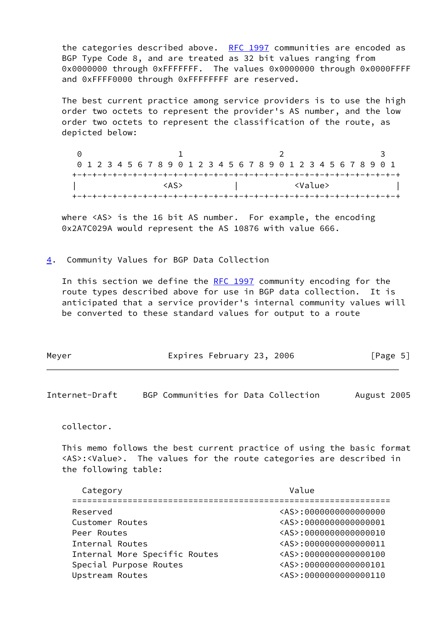the categories described above. [RFC 1997](https://datatracker.ietf.org/doc/pdf/rfc1997) communities are encoded as BGP Type Code 8, and are treated as 32 bit values ranging from 0x0000000 through 0xFFFFFFF. The values 0x0000000 through 0x0000FFFF and 0xFFFF0000 through 0xFFFFFFFF are reserved.

 The best current practice among service providers is to use the high order two octets to represent the provider's AS number, and the low order two octets to represent the classification of the route, as depicted below:

| 0 1 2 3 4 5 6 7 8 9 0 1 2 3 4 5 6 7 8 9 0 1 2 3 4 5 6 7 8 9 0 1 |  |  |  |      |  |  |  |  |  |  |                 |  |  |  |  |
|-----------------------------------------------------------------|--|--|--|------|--|--|--|--|--|--|-----------------|--|--|--|--|
|                                                                 |  |  |  |      |  |  |  |  |  |  |                 |  |  |  |  |
|                                                                 |  |  |  | くAS> |  |  |  |  |  |  | <value></value> |  |  |  |  |
|                                                                 |  |  |  |      |  |  |  |  |  |  |                 |  |  |  |  |

where <AS> is the 16 bit AS number. For example, the encoding 0x2A7C029A would represent the AS 10876 with value 666.

<span id="page-5-0"></span>[4](#page-5-0). Community Values for BGP Data Collection

In this section we define the [RFC 1997](https://datatracker.ietf.org/doc/pdf/rfc1997) community encoding for the route types described above for use in BGP data collection. It is anticipated that a service provider's internal community values will be converted to these standard values for output to a route

| Expires February 23, 2006 | Meyer |  |  | [Page 5] |
|---------------------------|-------|--|--|----------|
|---------------------------|-------|--|--|----------|

Internet-Draft BGP Communities for Data Collection August 2005

collector.

 This memo follows the best current practice of using the basic format <AS>:<Value>. The values for the route categories are described in the following table:

| Category                      | Value                      |
|-------------------------------|----------------------------|
| Reserved                      | <as>:0000000000000000</as> |
| Customer Routes               | <as>:0000000000000001</as> |
| Peer Routes                   | <as>:000000000000010</as>  |
| Internal Routes               | <as>:000000000000011</as>  |
| Internal More Specific Routes | <as>:0000000000000100</as> |
| Special Purpose Routes        | <as>:000000000000101</as>  |
| Upstream Routes               | <as>:000000000000110</as>  |
|                               |                            |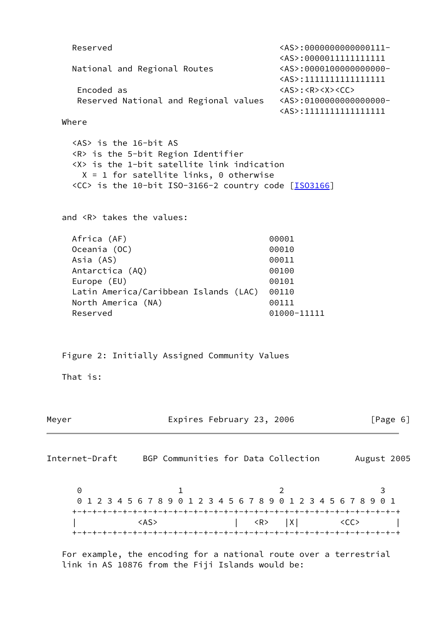```
 Reserved <AS>:0000000000000111-
                                     <AS>:0000011111111111
    National and Regional Routes <AS>:0000100000000000-
                                     <AS>:1111111111111111
    Encoded as \langle AS \rangle: \langle R > \langle X \rangle Reserved National and Regional values <AS>:0100000000000000-
                                     <AS>:1111111111111111
   Where
     <AS> is the 16-bit AS
     <R> is the 5-bit Region Identifier
     <X> is the 1-bit satellite link indication
     X = 1 for satellite links, 0 otherwise
     <CC> is the 10-bit ISO-3166-2 country code [ISO3166]
   and <R> takes the values:
   Africa (AF) 00001
   Oceania (OC) 00010
   Asia (AS) 00011
   Antarctica (AQ) 00100
   Europe (EU) 00101
    Latin America/Caribbean Islands (LAC) 00110
   North America (NA) 00111
   Reserved 01000-11111
   Figure 2: Initially Assigned Community Values
   That is:
Meyer Expires February 23, 2006 [Page 6]
Internet-Draft BGP Communities for Data Collection August 2005
0 1 2 3
     0 1 2 3 4 5 6 7 8 9 0 1 2 3 4 5 6 7 8 9 0 1 2 3 4 5 6 7 8 9 0 1
    +-+-+-+-+-+-+-+-+-+-+-+-+-+-+-+-+-+-+-+-+-+-+-+-+-+-+-+-+-+-+-+-+
      \langle AS \rangle | \langle R \rangle |X| \langle CC \rangle |
     +-+-+-+-+-+-+-+-+-+-+-+-+-+-+-+-+-+-+-+-+-+-+-+-+-+-+-+-+-+-+-+-+
```
<span id="page-6-0"></span> For example, the encoding for a national route over a terrestrial link in AS 10876 from the Fiji Islands would be: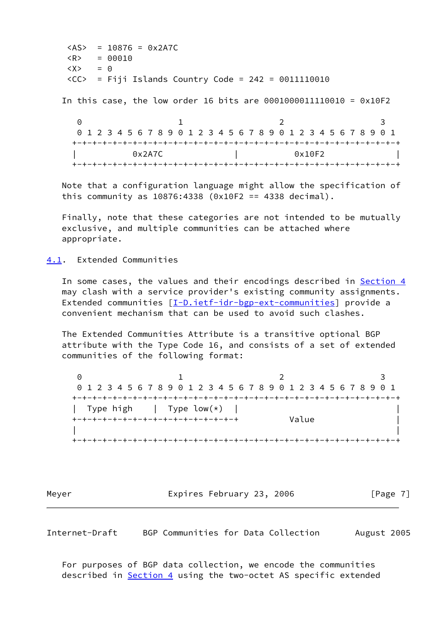$<$ AS> = 10876 = 0x2A7C  $\langle R \rangle$  = 00010  $\langle X \rangle$  = 0  $\langle CC \rangle$  = Fiji Islands Country Code = 242 = 0011110010

In this case, the low order 16 bits are 0001000011110010 = 0x10F2

0 1 2 3 0 1 2 3 4 5 6 7 8 9 0 1 2 3 4 5 6 7 8 9 0 1 2 3 4 5 6 7 8 9 0 1 +-+-+-+-+-+-+-+-+-+-+-+-+-+-+-+-+-+-+-+-+-+-+-+-+-+-+-+-+-+-+-+-+ 0x2A7C | 0x10F2 +-+-+-+-+-+-+-+-+-+-+-+-+-+-+-+-+-+-+-+-+-+-+-+-+-+-+-+-+-+-+-+-+

 Note that a configuration language might allow the specification of this community as 10876:4338 (0x10F2 == 4338 decimal).

 Finally, note that these categories are not intended to be mutually exclusive, and multiple communities can be attached where appropriate.

<span id="page-7-0"></span>[4.1](#page-7-0). Extended Communities

In some cases, the values and their encodings described in [Section 4](#page-5-0) may clash with a service provider's existing community assignments. Extended communities [\[I-D.ietf-idr-bgp-ext-communities](#page-11-2)] provide a convenient mechanism that can be used to avoid such clashes.

 The Extended Communities Attribute is a transitive optional BGP attribute with the Type Code 16, and consists of a set of extended communities of the following format:

0 1 2 3 0 1 2 3 4 5 6 7 8 9 0 1 2 3 4 5 6 7 8 9 0 1 2 3 4 5 6 7 8 9 0 1 +-+-+-+-+-+-+-+-+-+-+-+-+-+-+-+-+-+-+-+-+-+-+-+-+-+-+-+-+-+-+-+-+ | Type high | Type  $low(*)$  | +-+-+-+-+-+-+-+-+-+-+-+-+-+-+-+-+ Value | | | +-+-+-+-+-+-+-+-+-+-+-+-+-+-+-+-+-+-+-+-+-+-+-+-+-+-+-+-+-+-+-+-+

Meyer **Expires February 23, 2006** [Page 7]

<span id="page-7-1"></span>Internet-Draft BGP Communities for Data Collection August 2005

 For purposes of BGP data collection, we encode the communities described in **Section 4** using the two-octet AS specific extended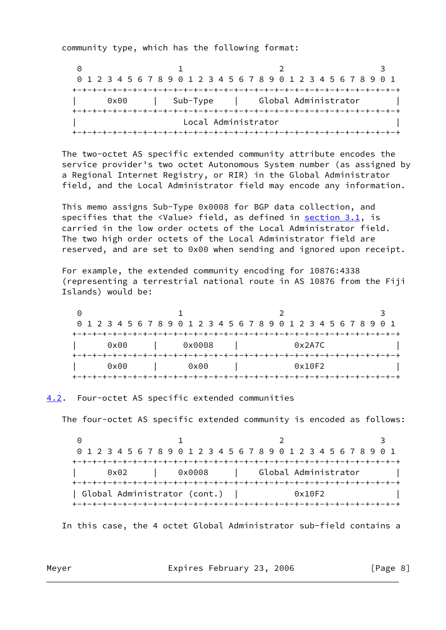community type, which has the following format:

0 1 2 3 0 1 2 3 4 5 6 7 8 9 0 1 2 3 4 5 6 7 8 9 0 1 2 3 4 5 6 7 8 9 0 1 +-+-+-+-+-+-+-+-+-+-+-+-+-+-+-+-+-+-+-+-+-+-+-+-+-+-+-+-+-+-+-+-+ 0x00 | Sub-Type | Global Administrator +-+-+-+-+-+-+-+-+-+-+-+-+-+-+-+-+-+-+-+-+-+-+-+-+-+-+-+-+-+-+-+-+ Local Administrator +-+-+-+-+-+-+-+-+-+-+-+-+-+-+-+-+-+-+-+-+-+-+-+-+-+-+-+-+-+-+-+-+

 The two-octet AS specific extended community attribute encodes the service provider's two octet Autonomous System number (as assigned by a Regional Internet Registry, or RIR) in the Global Administrator field, and the Local Administrator field may encode any information.

 This memo assigns Sub-Type 0x0008 for BGP data collection, and specifies that the <Value> field, as defined in section 3.1, is carried in the low order octets of the Local Administrator field. The two high order octets of the Local Administrator field are reserved, and are set to 0x00 when sending and ignored upon receipt.

 For example, the extended community encoding for 10876:4338 (representing a terrestrial national route in AS 10876 from the Fiji Islands) would be:

|               | 0 1 2 3 4 5 6 7 8 9 0 1 2 3 4 5 6 7 8 9 0 1 2 3 4 5 6 7 8 9 0 1 |               |  |  |  |        |  |  |  |               |  |  |  |        |  |  |  |  |  |        |  |  |  |  |  |  |  |  |  |
|---------------|-----------------------------------------------------------------|---------------|--|--|--|--------|--|--|--|---------------|--|--|--|--------|--|--|--|--|--|--------|--|--|--|--|--|--|--|--|--|
|               |                                                                 |               |  |  |  |        |  |  |  |               |  |  |  |        |  |  |  |  |  |        |  |  |  |  |  |  |  |  |  |
| $0 \times 00$ |                                                                 |               |  |  |  | 0x0008 |  |  |  |               |  |  |  | 0x2A7C |  |  |  |  |  |        |  |  |  |  |  |  |  |  |  |
|               |                                                                 |               |  |  |  |        |  |  |  |               |  |  |  |        |  |  |  |  |  |        |  |  |  |  |  |  |  |  |  |
|               |                                                                 | $0 \times 00$ |  |  |  |        |  |  |  | $0 \times 00$ |  |  |  |        |  |  |  |  |  | 0x10F2 |  |  |  |  |  |  |  |  |  |
|               |                                                                 |               |  |  |  |        |  |  |  |               |  |  |  |        |  |  |  |  |  |        |  |  |  |  |  |  |  |  |  |

<span id="page-8-0"></span>[4.2](#page-8-0). Four-octet AS specific extended communities

The four-octet AS specific extended community is encoded as follows:

0 1 2 3 0 1 2 3 4 5 6 7 8 9 0 1 2 3 4 5 6 7 8 9 0 1 2 3 4 5 6 7 8 9 0 1 +-+-+-+-+-+-+-+-+-+-+-+-+-+-+-+-+-+-+-+-+-+-+-+-+-+-+-+-+-+-+-+-+ | 0x02 | 0x0008 | Global Administrator | +-+-+-+-+-+-+-+-+-+-+-+-+-+-+-+-+-+-+-+-+-+-+-+-+-+-+-+-+-+-+-+-+ | Global Administrator (cont.) | 0x10F2 | +-+-+-+-+-+-+-+-+-+-+-+-+-+-+-+-+-+-+-+-+-+-+-+-+-+-+-+-+-+-+-+-+

In this case, the 4 octet Global Administrator sub-field contains a

Meyer **Expires February 23, 2006** [Page 8] [Page 8]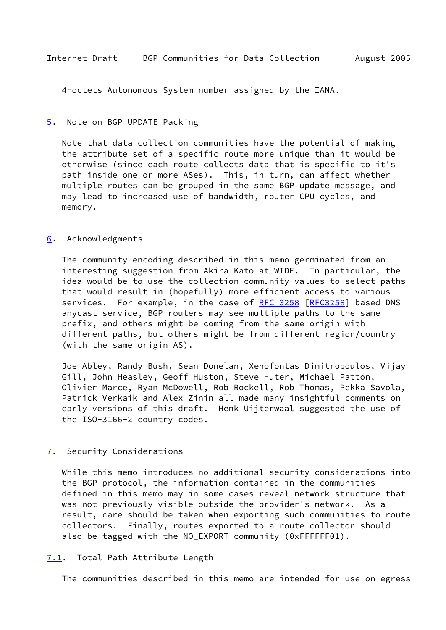<span id="page-9-1"></span>4-octets Autonomous System number assigned by the IANA.

#### <span id="page-9-0"></span>[5](#page-9-0). Note on BGP UPDATE Packing

 Note that data collection communities have the potential of making the attribute set of a specific route more unique than it would be otherwise (since each route collects data that is specific to it's path inside one or more ASes). This, in turn, can affect whether multiple routes can be grouped in the same BGP update message, and may lead to increased use of bandwidth, router CPU cycles, and memory.

#### <span id="page-9-2"></span>[6](#page-9-2). Acknowledgments

 The community encoding described in this memo germinated from an interesting suggestion from Akira Kato at WIDE. In particular, the idea would be to use the collection community values to select paths that would result in (hopefully) more efficient access to various services. For example, in the case of [RFC 3258 \[RFC3258](https://datatracker.ietf.org/doc/pdf/rfc3258)] based DNS anycast service, BGP routers may see multiple paths to the same prefix, and others might be coming from the same origin with different paths, but others might be from different region/country (with the same origin AS).

 Joe Abley, Randy Bush, Sean Donelan, Xenofontas Dimitropoulos, Vijay Gill, John Heasley, Geoff Huston, Steve Huter, Michael Patton, Olivier Marce, Ryan McDowell, Rob Rockell, Rob Thomas, Pekka Savola, Patrick Verkaik and Alex Zinin all made many insightful comments on early versions of this draft. Henk Uijterwaal suggested the use of the ISO-3166-2 country codes.

### <span id="page-9-3"></span>[7](#page-9-3). Security Considerations

 While this memo introduces no additional security considerations into the BGP protocol, the information contained in the communities defined in this memo may in some cases reveal network structure that was not previously visible outside the provider's network. As a result, care should be taken when exporting such communities to route collectors. Finally, routes exported to a route collector should also be tagged with the NO\_EXPORT community (0xFFFFFF01).

<span id="page-9-4"></span>[7.1](#page-9-4). Total Path Attribute Length

The communities described in this memo are intended for use on egress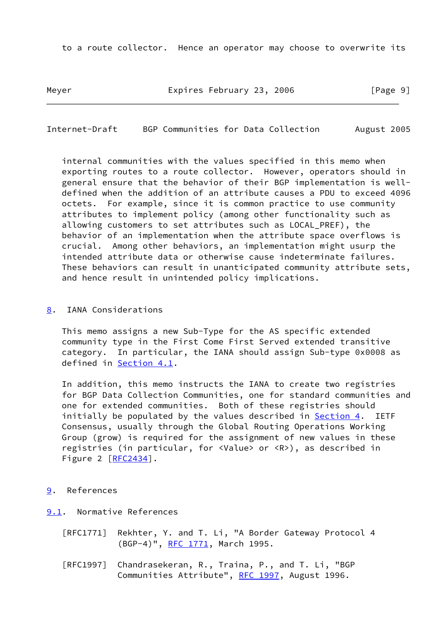to a route collector. Hence an operator may choose to overwrite its

Meyer **Expires February 23, 2006** [Page 9]

<span id="page-10-1"></span>Internet-Draft BGP Communities for Data Collection August 2005

 internal communities with the values specified in this memo when exporting routes to a route collector. However, operators should in general ensure that the behavior of their BGP implementation is well defined when the addition of an attribute causes a PDU to exceed 4096 octets. For example, since it is common practice to use community attributes to implement policy (among other functionality such as allowing customers to set attributes such as LOCAL\_PREF), the behavior of an implementation when the attribute space overflows is crucial. Among other behaviors, an implementation might usurp the intended attribute data or otherwise cause indeterminate failures. These behaviors can result in unanticipated community attribute sets, and hence result in unintended policy implications.

<span id="page-10-0"></span>[8](#page-10-0). IANA Considerations

 This memo assigns a new Sub-Type for the AS specific extended community type in the First Come First Served extended transitive category. In particular, the IANA should assign Sub-type 0x0008 as defined in [Section 4.1](#page-7-0).

 In addition, this memo instructs the IANA to create two registries for BGP Data Collection Communities, one for standard communities and one for extended communities. Both of these registries should initially be populated by the values described in [Section 4.](#page-5-0) IETF Consensus, usually through the Global Routing Operations Working Group (grow) is required for the assignment of new values in these registries (in particular, for <Value> or <R>), as described in Figure 2 [\[RFC2434](https://datatracker.ietf.org/doc/pdf/rfc2434)].

- <span id="page-10-2"></span>[9](#page-10-2). References
- <span id="page-10-3"></span>[9.1](#page-10-3). Normative References
	- [RFC1771] Rekhter, Y. and T. Li, "A Border Gateway Protocol 4 (BGP-4)", [RFC 1771](https://datatracker.ietf.org/doc/pdf/rfc1771), March 1995.
	- [RFC1997] Chandrasekeran, R., Traina, P., and T. Li, "BGP Communities Attribute", [RFC 1997,](https://datatracker.ietf.org/doc/pdf/rfc1997) August 1996.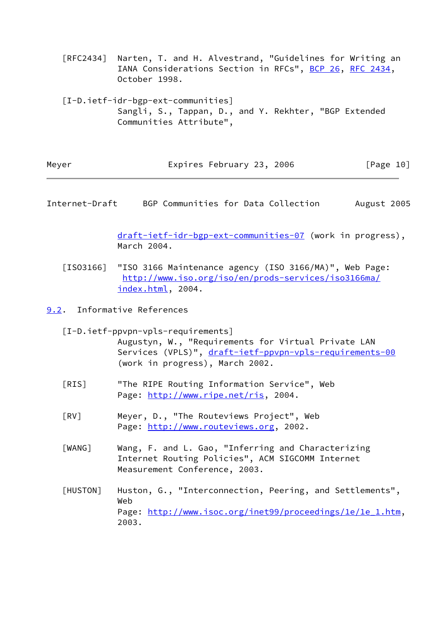[RFC2434] Narten, T. and H. Alvestrand, "Guidelines for Writing an IANA Considerations Section in RFCs", [BCP 26](https://datatracker.ietf.org/doc/pdf/bcp26), [RFC 2434](https://datatracker.ietf.org/doc/pdf/rfc2434), October 1998.

<span id="page-11-2"></span> [I-D.ietf-idr-bgp-ext-communities] Sangli, S., Tappan, D., and Y. Rekhter, "BGP Extended Communities Attribute",

| Meyer | Expires February 23, 2006 | [Page 10] |
|-------|---------------------------|-----------|
|-------|---------------------------|-----------|

<span id="page-11-1"></span>Internet-Draft BGP Communities for Data Collection August 2005

 [draft-ietf-idr-bgp-ext-communities-07](https://datatracker.ietf.org/doc/pdf/draft-ietf-idr-bgp-ext-communities-07) (work in progress), March 2004.

<span id="page-11-6"></span> [ISO3166] "ISO 3166 Maintenance agency (ISO 3166/MA)", Web Page: [http://www.iso.org/iso/en/prods-services/iso3166ma/](http://www.iso.org/iso/en/prods-services/iso3166ma/index.html) [index.html,](http://www.iso.org/iso/en/prods-services/iso3166ma/index.html) 2004.

<span id="page-11-0"></span>[9.2](#page-11-0). Informative References

 [I-D.ietf-ppvpn-vpls-requirements] Augustyn, W., "Requirements for Virtual Private LAN Services (VPLS)", [draft-ietf-ppvpn-vpls-requirements-00](https://datatracker.ietf.org/doc/pdf/draft-ietf-ppvpn-vpls-requirements-00) (work in progress), March 2002.

- [RIS] "The RIPE Routing Information Service", Web Page:<http://www.ripe.net/ris>, 2004.
- <span id="page-11-3"></span> [RV] Meyer, D., "The Routeviews Project", Web Page:<http://www.routeviews.org>, 2002.
- <span id="page-11-4"></span> [WANG] Wang, F. and L. Gao, "Inferring and Characterizing Internet Routing Policies", ACM SIGCOMM Internet Measurement Conference, 2003.
- <span id="page-11-5"></span> [HUSTON] Huston, G., "Interconnection, Peering, and Settlements", Web Page: [http://www.isoc.org/inet99/proceedings/1e/1e\\_1.htm,](http://www.isoc.org/inet99/proceedings/1e/1e_1.htm) 2003.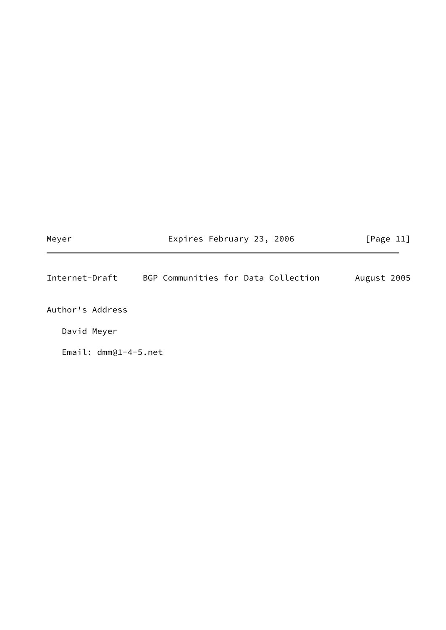<span id="page-12-0"></span>

| Meyer                  | Expires February 23, 2006           | [Page 11]   |  |  |  |  |
|------------------------|-------------------------------------|-------------|--|--|--|--|
| Internet-Draft         | BGP Communities for Data Collection | August 2005 |  |  |  |  |
| Author's Address       |                                     |             |  |  |  |  |
| David Meyer            |                                     |             |  |  |  |  |
| Email: $dmm@1-4-5.net$ |                                     |             |  |  |  |  |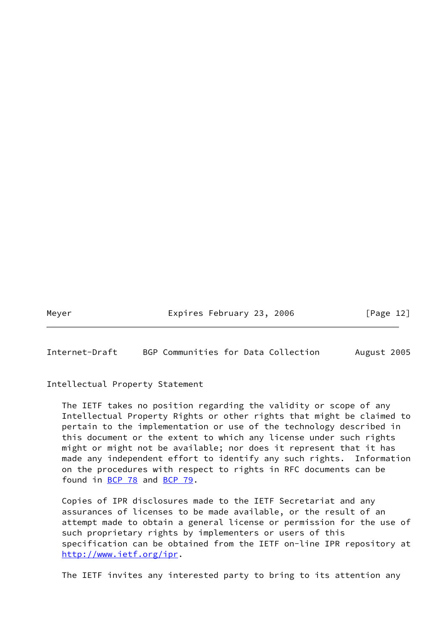Meyer Expires February 23, 2006 [Page 12]

<span id="page-13-0"></span>Internet-Draft BGP Communities for Data Collection August 2005

Intellectual Property Statement

 The IETF takes no position regarding the validity or scope of any Intellectual Property Rights or other rights that might be claimed to pertain to the implementation or use of the technology described in this document or the extent to which any license under such rights might or might not be available; nor does it represent that it has made any independent effort to identify any such rights. Information on the procedures with respect to rights in RFC documents can be found in [BCP 78](https://datatracker.ietf.org/doc/pdf/bcp78) and [BCP 79](https://datatracker.ietf.org/doc/pdf/bcp79).

 Copies of IPR disclosures made to the IETF Secretariat and any assurances of licenses to be made available, or the result of an attempt made to obtain a general license or permission for the use of such proprietary rights by implementers or users of this specification can be obtained from the IETF on-line IPR repository at <http://www.ietf.org/ipr>.

The IETF invites any interested party to bring to its attention any